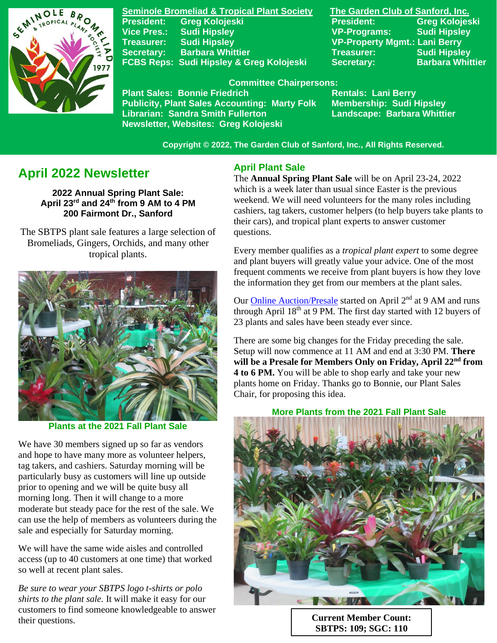

**Seminole Bromeliad & Tropical Plant Society The Garden Club of Sanford, Inc. Vice Pres.: Sudi Hipsley VP-Programs: Sudi Hipsley Treasurer: Sudi Hipsley VP-Property Mgmt.: Lani Berry Secretary:** Barbara Whittier **Network Treasurer:** Sudi Hipsley FCBS Reps: Sudi Hipsley & Greg Kolojeski Secretary: Barbara Whittier

**President: Greg Kolojeski President: Greg Kolojeski** 

#### **Committee Chairpersons:**

Plant Sales: Bonnie Friedrich **Rentals: Lani Berry<br>Publicity, Plant Sales Accounting: Marty Folk Membership: Sudi Hipsley Publicity, Plant Sales Accounting: Marty Folk Librarian: Sandra Smith Fullerton Landscape: Barbara Whittier Newsletter, Websites: Greg Kolojeski**

 **Copyright © 2022, The Garden Club of Sanford, Inc., All Rights Reserved.**

# **April 2022 Newsletter**

**2022 Annual Spring Plant Sale: April 23rd and 24th from 9 AM to 4 PM 200 Fairmont Dr., Sanford**

 The SBTPS plant sale features a large selection of Bromeliads, Gingers, Orchids, and many other tropical plants.



**Plants at the 2021 Fall Plant Sale**

We have 30 members signed up so far as vendors and hope to have many more as volunteer helpers, tag takers, and cashiers. Saturday morning will be particularly busy as customers will line up outside prior to opening and we will be quite busy all morning long. Then it will change to a more moderate but steady pace for the rest of the sale. We can use the help of members as volunteers during the sale and especially for Saturday morning.

We will have the same wide aisles and controlled access (up to 40 customers at one time) that worked so well at recent plant sales.

*Be sure to wear your SBTPS logo t-shirts or polo shirts to the plant sale.* It will make it easy for our customers to find someone knowledgeable to answer their questions. **Current Member Count: Current Member Count:** 

## **April Plant Sale**

The **Annual Spring Plant Sale** will be on April 23-24, 2022 which is a week later than usual since Easter is the previous weekend. We will need volunteers for the many roles including cashiers, tag takers, customer helpers (to help buyers take plants to their cars), and tropical plant experts to answer customer questions.

Every member qualifies as a *tropical plant expert* to some degree and plant buyers will greatly value your advice. One of the most frequent comments we receive from plant buyers is how they love the information they get from our members at the plant sales.

Our [Online Auction/Presale](https://www.32auctions.com/annualspringplantsale2022) started on April 2<sup>nd</sup> at 9 AM and runs through April  $18<sup>th</sup>$  at 9 PM. The first day started with 12 buyers of 23 plants and sales have been steady ever since.

There are some big changes for the Friday preceding the sale. Setup will now commence at 11 AM and end at 3:30 PM. **There will be a Presale for Members Only on Friday, April 22nd from 4 to 6 PM.** You will be able to shop early and take your new plants home on Friday. Thanks go to Bonnie, our Plant Sales Chair, for proposing this idea.

**More Plants from the 2021 Fall Plant Sale**



**SBTPS: 109; SGC: 110**